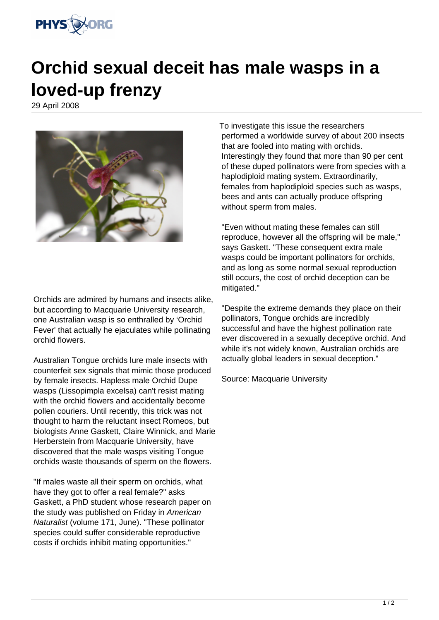

## **Orchid sexual deceit has male wasps in a loved-up frenzy**

29 April 2008



Orchids are admired by humans and insects alike, but according to Macquarie University research, one Australian wasp is so enthralled by 'Orchid Fever' that actually he ejaculates while pollinating orchid flowers.

Australian Tongue orchids lure male insects with counterfeit sex signals that mimic those produced by female insects. Hapless male Orchid Dupe wasps (Lissopimpla excelsa) can't resist mating with the orchid flowers and accidentally become pollen couriers. Until recently, this trick was not thought to harm the reluctant insect Romeos, but biologists Anne Gaskett, Claire Winnick, and Marie Herberstein from Macquarie University, have discovered that the male wasps visiting Tongue orchids waste thousands of sperm on the flowers.

"If males waste all their sperm on orchids, what have they got to offer a real female?" asks Gaskett, a PhD student whose research paper on the study was published on Friday in American Naturalist (volume 171, June). "These pollinator species could suffer considerable reproductive costs if orchids inhibit mating opportunities."

To investigate this issue the researchers performed a worldwide survey of about 200 insects that are fooled into mating with orchids. Interestingly they found that more than 90 per cent of these duped pollinators were from species with a haplodiploid mating system. Extraordinarily, females from haplodiploid species such as wasps, bees and ants can actually produce offspring without sperm from males.

"Even without mating these females can still reproduce, however all the offspring will be male," says Gaskett. "These consequent extra male wasps could be important pollinators for orchids, and as long as some normal sexual reproduction still occurs, the cost of orchid deception can be mitigated."

"Despite the extreme demands they place on their pollinators, Tongue orchids are incredibly successful and have the highest pollination rate ever discovered in a sexually deceptive orchid. And while it's not widely known, Australian orchids are actually global leaders in sexual deception."

Source: Macquarie University